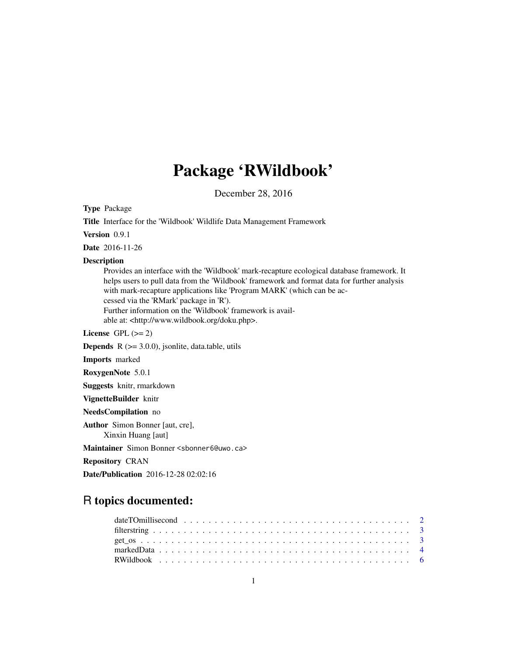## Package 'RWildbook'

December 28, 2016

Type Package

Title Interface for the 'Wildbook' Wildlife Data Management Framework Version 0.9.1 Date 2016-11-26 Description Provides an interface with the 'Wildbook' mark-recapture ecological database framework. It helps users to pull data from the 'Wildbook' framework and format data for further analysis with mark-recapture applications like 'Program MARK' (which can be accessed via the 'RMark' package in 'R'). Further information on the 'Wildbook' framework is available at: <http://www.wildbook.org/doku.php>. License GPL  $(>= 2)$ **Depends**  $R$  ( $>= 3.0.0$ ), jsonlite, data.table, utils

Imports marked

RoxygenNote 5.0.1

Suggests knitr, rmarkdown

VignetteBuilder knitr

NeedsCompilation no

Author Simon Bonner [aut, cre],

Xinxin Huang [aut]

Maintainer Simon Bonner <sbonner6@uwo.ca>

Repository CRAN

Date/Publication 2016-12-28 02:02:16

## R topics documented: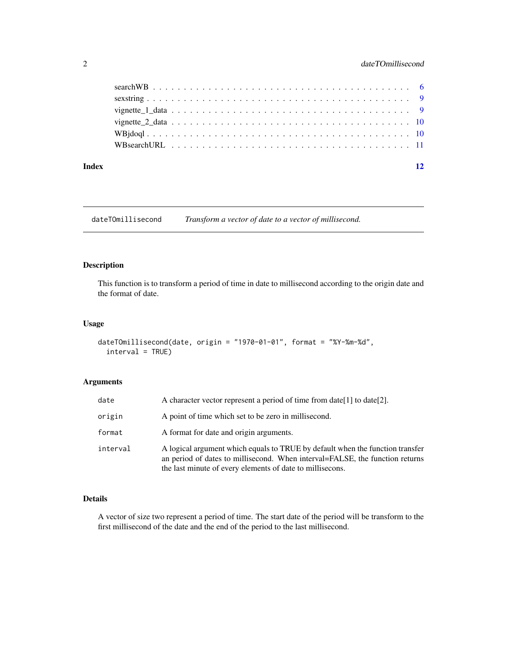## <span id="page-1-0"></span>2 dateTOmillisecond

#### **Index** [12](#page-11-0)

dateTOmillisecond *Transform a vector of date to a vector of millisecond.*

## Description

This function is to transform a period of time in date to millisecond according to the origin date and the format of date.

## Usage

```
dateTOmillisecond(date, origin = "1970-01-01", format = "%Y-%m-%d",
  interval = TRUE)
```
## Arguments

| date     | A character vector represent a period of time from date [1] to date [2].                                                                                                                                                   |
|----------|----------------------------------------------------------------------------------------------------------------------------------------------------------------------------------------------------------------------------|
| origin   | A point of time which set to be zero in millisecond.                                                                                                                                                                       |
| format   | A format for date and origin arguments.                                                                                                                                                                                    |
| interval | A logical argument which equals to TRUE by default when the function transfer<br>an period of dates to millisecond. When interval=FALSE, the function returns<br>the last minute of every elements of date to millisecons. |

## Details

A vector of size two represent a period of time. The start date of the period will be transform to the first millisecond of the date and the end of the period to the last millisecond.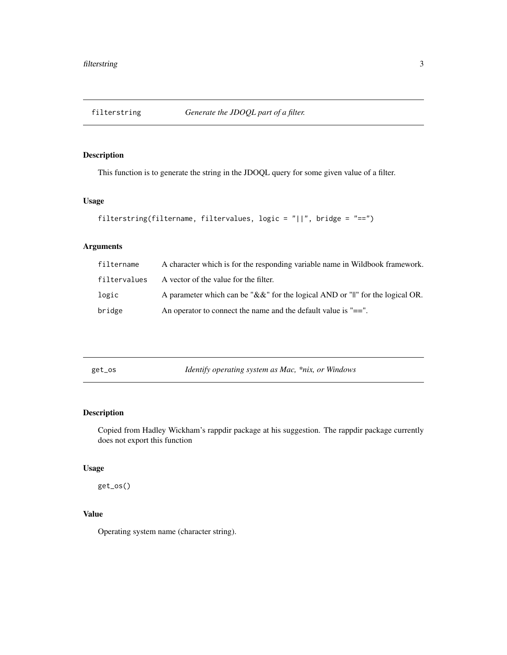<span id="page-2-0"></span>

This function is to generate the string in the JDOQL query for some given value of a filter.

## Usage

```
filterstring(filtername, filtervalues, logic = "||", bridge = "==")
```
## Arguments

| filtername   | A character which is for the responding variable name in Wildbook framework.             |
|--------------|------------------------------------------------------------------------------------------|
| filtervalues | A vector of the value for the filter.                                                    |
| logic        | A parameter which can be "&&" for the logical AND or " $\parallel$ " for the logical OR. |
| bridge       | An operator to connect the name and the default value is $"=="$ .                        |

get\_os *Identify operating system as Mac, \*nix, or Windows*

## Description

Copied from Hadley Wickham's rappdir package at his suggestion. The rappdir package currently does not export this function

## Usage

get\_os()

## Value

Operating system name (character string).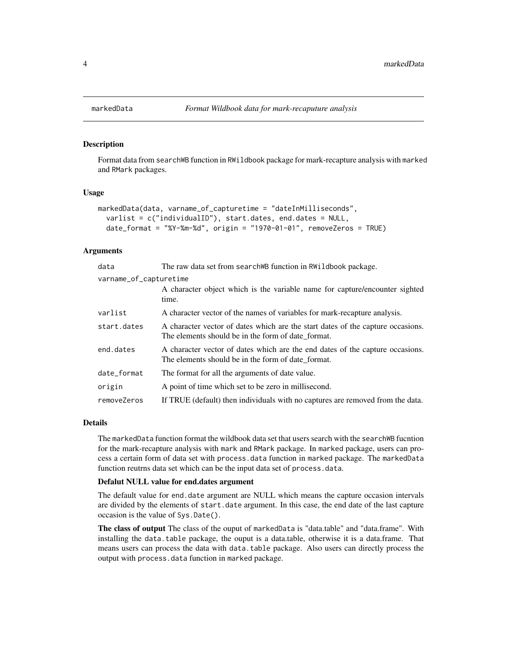Format data from searchWB function in RWildbook package for mark-recapture analysis with marked and RMark packages.

#### Usage

```
markedData(data, varname_of_capturetime = "dateInMilliseconds",
  varlist = c("individualID"), start.dates, end.dates = NULL,
 date_format = "%Y-%m-%d", origin = "1970-01-01", removeZeros = TRUE)
```
#### Arguments

| data                   | The raw data set from search WB function in RWildbook package.                                                                        |  |  |  |  |
|------------------------|---------------------------------------------------------------------------------------------------------------------------------------|--|--|--|--|
| varname_of_capturetime |                                                                                                                                       |  |  |  |  |
|                        | A character object which is the variable name for capture/encounter sighted<br>time.                                                  |  |  |  |  |
| varlist                | A character vector of the names of variables for mark-recapture analysis.                                                             |  |  |  |  |
| start.dates            | A character vector of dates which are the start dates of the capture occasions.<br>The elements should be in the form of date format. |  |  |  |  |
| end.dates              | A character vector of dates which are the end dates of the capture occasions.<br>The elements should be in the form of date format.   |  |  |  |  |
| date_format            | The format for all the arguments of date value.                                                                                       |  |  |  |  |
| origin                 | A point of time which set to be zero in millisecond.                                                                                  |  |  |  |  |
| removeZeros            | If TRUE (default) then individuals with no captures are removed from the data.                                                        |  |  |  |  |

#### Details

The markedData function format the wildbook data set that users search with the searchWB fucntion for the mark-recapture analysis with mark and RMark package. In marked package, users can process a certain form of data set with process.data function in marked package. The markedData function reutrns data set which can be the input data set of process.data.

#### Defalut NULL value for end.dates argument

The default value for end.date argument are NULL which means the capture occasion intervals are divided by the elements of start.date argument. In this case, the end date of the last capture occasion is the value of Sys.Date().

The class of output The class of the ouput of markedData is "data.table" and "data.frame". With installing the data.table package, the ouput is a data.table, otherwise it is a data.frame. That means users can process the data with data.table package. Also users can directly process the output with process.data function in marked package.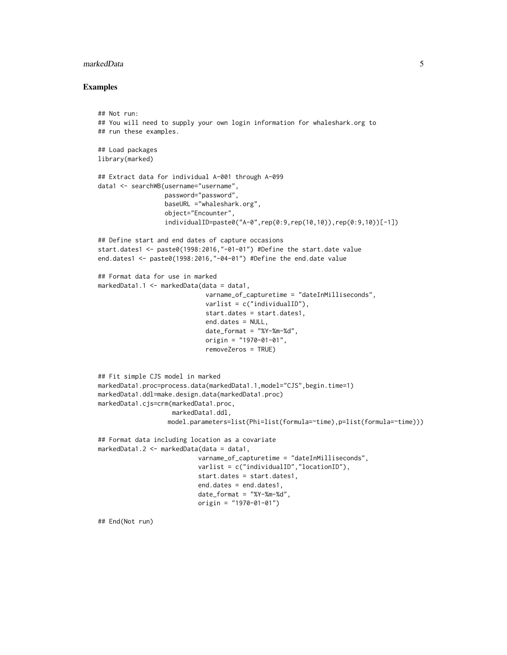#### markedData 5

#### Examples

```
## Not run:
## You will need to supply your own login information for whaleshark.org to
## run these examples.
## Load packages
library(marked)
## Extract data for individual A-001 through A-099
data1 <- searchWB(username="username",
                  password="password",
                  baseURL ="whaleshark.org",
                  object="Encounter",
                  individualID=paste0("A-0",rep(0:9,rep(10,10)),rep(0:9,10))[-1])
## Define start and end dates of capture occasions
start.dates1 <- paste0(1998:2016,"-01-01") #Define the start.date value
end.dates1 <- paste0(1998:2016,"-04-01") #Define the end.date value
## Format data for use in marked
markedData1.1 <- markedData(data = data1,
                             varname_of_capturetime = "dateInMilliseconds",
                             varlist = c("individualID"),
                             start.dates = start.dates1,
                             end.dates = NULL,
                             date_format = "%Y-%m-%d",
                             origin = "1970-01-01",
                             removeZeros = TRUE)
## Fit simple CJS model in marked
markedData1.proc=process.data(markedData1.1,model="CJS",begin.time=1)
markedData1.ddl=make.design.data(markedData1.proc)
markedData1.cjs=crm(markedData1.proc,
                    markedData1.ddl,
                   model.parameters=list(Phi=list(formula=~time),p=list(formula=~time)))
## Format data including location as a covariate
markedData1.2 <- markedData(data = data1,
                           varname_of_capturetime = "dateInMilliseconds",
                           varlist = c("individualID","locationID"),
                           start.dates = start.dates1,
                           end.dates = end.dates1,
                           date_format = "%Y-%m-%d",
                           origin = "1970-01-01")
```
## End(Not run)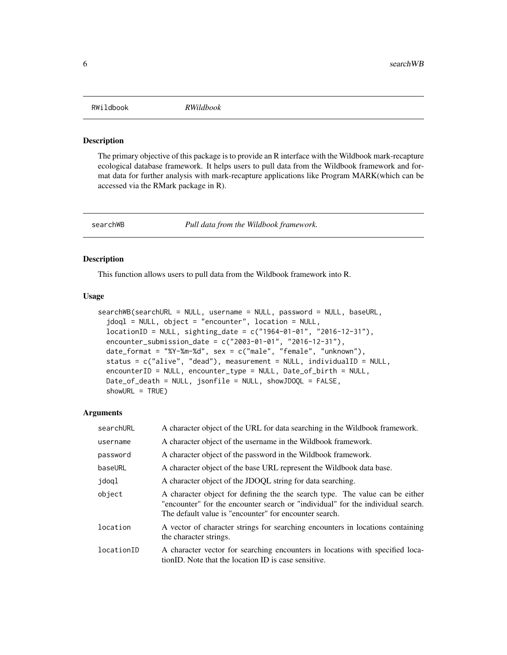<span id="page-5-0"></span>

The primary objective of this package is to provide an R interface with the Wildbook mark-recapture ecological database framework. It helps users to pull data from the Wildbook framework and format data for further analysis with mark-recapture applications like Program MARK(which can be accessed via the RMark package in R).

searchWB *Pull data from the Wildbook framework.*

## Description

This function allows users to pull data from the Wildbook framework into R.

#### Usage

```
searchWB(searchURL = NULL, username = NULL, password = NULL, baseURL,
 jdoql = NULL, object = "encounter", location = NULL,
  locationID = NULL, sighting_date = c("1964-01-01", "2016-12-31"),
  encounter_submission_date = c("2003-01-01", "2016-12-31"),
  date_format = "%Y-%m-%d", sex = c("male", "female", "unknown"),
  status = c("alive", "dead"), measurement = NULL, individualID = NULL,
  encounterID = NULL, encounter_type = NULL, Date_of_birth = NULL,
  Date_of_death = NULL, jsonfile = NULL, showJDOQL = FALSE,
  showURL = TRUE)
```
#### Arguments

| searchURL  | A character object of the URL for data searching in the Wildbook framework.                                                                                                                                               |
|------------|---------------------------------------------------------------------------------------------------------------------------------------------------------------------------------------------------------------------------|
| username   | A character object of the username in the Wildbook framework.                                                                                                                                                             |
| password   | A character object of the password in the Wildbook framework.                                                                                                                                                             |
| baseURL    | A character object of the base URL represent the Wildbook data base.                                                                                                                                                      |
| jdoql      | A character object of the JDOOL string for data searching.                                                                                                                                                                |
| object     | A character object for defining the the search type. The value can be either<br>"encounter" for the encounter search or "individual" for the individual search.<br>The default value is "encounter" for encounter search. |
| location   | A vector of character strings for searching encounters in locations containing<br>the character strings.                                                                                                                  |
| locationID | A character vector for searching encounters in locations with specified loca-<br>tionID. Note that the location ID is case sensitive.                                                                                     |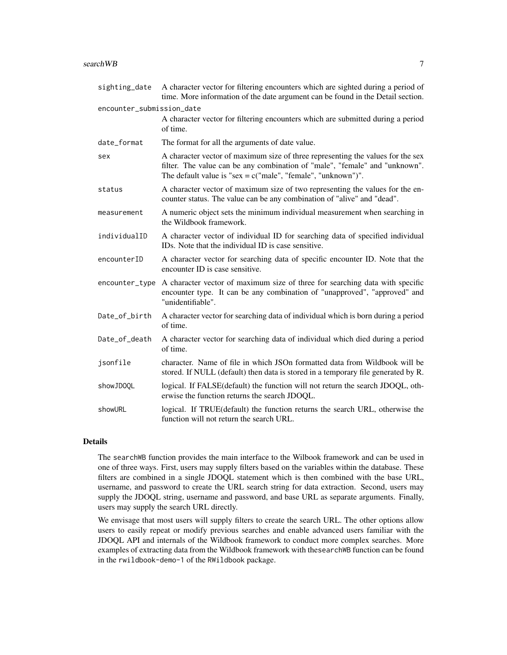| sighting_date             | A character vector for filtering encounters which are sighted during a period of<br>time. More information of the date argument can be found in the Detail section.                                                               |
|---------------------------|-----------------------------------------------------------------------------------------------------------------------------------------------------------------------------------------------------------------------------------|
| encounter_submission_date |                                                                                                                                                                                                                                   |
|                           | A character vector for filtering encounters which are submitted during a period<br>of time.                                                                                                                                       |
| date_format               | The format for all the arguments of date value.                                                                                                                                                                                   |
| sex                       | A character vector of maximum size of three representing the values for the sex<br>filter. The value can be any combination of "male", "female" and "unknown".<br>The default value is " $sex = c("male", "female", "unknown")".$ |
| status                    | A character vector of maximum size of two representing the values for the en-<br>counter status. The value can be any combination of "alive" and "dead".                                                                          |
| measurement               | A numeric object sets the minimum individual measurement when searching in<br>the Wildbook framework.                                                                                                                             |
| individualID              | A character vector of individual ID for searching data of specified individual<br>ID <sub>s</sub> . Note that the individual ID is case sensitive.                                                                                |
| encounterID               | A character vector for searching data of specific encounter ID. Note that the<br>encounter ID is case sensitive.                                                                                                                  |
| encounter_type            | A character vector of maximum size of three for searching data with specific<br>encounter type. It can be any combination of "unapproved", "approved" and<br>"unidentifiable".                                                    |
| Date_of_birth             | A character vector for searching data of individual which is born during a period<br>of time.                                                                                                                                     |
| Date_of_death             | A character vector for searching data of individual which died during a period<br>of time.                                                                                                                                        |
| jsonfile                  | character. Name of file in which JSOn formatted data from Wildbook will be<br>stored. If NULL (default) then data is stored in a temporary file generated by R.                                                                   |
| showJD0QL                 | logical. If FALSE(default) the function will not return the search JDOQL, oth-<br>erwise the function returns the search JDOQL.                                                                                                   |
| showURL                   | logical. If TRUE(default) the function returns the search URL, otherwise the<br>function will not return the search URL.                                                                                                          |

## Details

The searchWB function provides the main interface to the Wilbook framework and can be used in one of three ways. First, users may supply filters based on the variables within the database. These filters are combined in a single JDOQL statement which is then combined with the base URL, username, and password to create the URL search string for data extraction. Second, users may supply the JDOQL string, username and password, and base URL as separate arguments. Finally, users may supply the search URL directly.

We envisage that most users will supply filters to create the search URL. The other options allow users to easily repeat or modify previous searches and enable advanced users familiar with the JDOQL API and internals of the Wildbook framework to conduct more complex searches. More examples of extracting data from the Wildbook framework with thesearchWB function can be found in the rwildbook-demo-1 of the RWildbook package.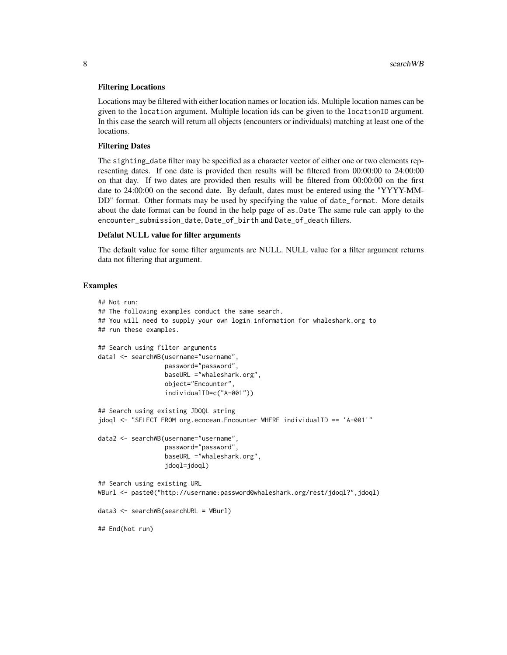#### Filtering Locations

Locations may be filtered with either location names or location ids. Multiple location names can be given to the location argument. Multiple location ids can be given to the locationID argument. In this case the search will return all objects (encounters or individuals) matching at least one of the locations.

#### Filtering Dates

The sighting\_date filter may be specified as a character vector of either one or two elements representing dates. If one date is provided then results will be filtered from 00:00:00 to 24:00:00 on that day. If two dates are provided then results will be filtered from 00:00:00 on the first date to 24:00:00 on the second date. By default, dates must be entered using the "YYYY-MM-DD" format. Other formats may be used by specifying the value of date\_format. More details about the date format can be found in the help page of as.Date The same rule can apply to the encounter\_submission\_date, Date\_of\_birth and Date\_of\_death filters.

#### Defalut NULL value for filter arguments

The default value for some filter arguments are NULL. NULL value for a filter argument returns data not filtering that argument.

#### Examples

```
## Not run:
## The following examples conduct the same search.
## You will need to supply your own login information for whaleshark.org to
## run these examples.
## Search using filter arguments
data1 <- searchWB(username="username",
                  password="password",
                  baseURL ="whaleshark.org",
                  object="Encounter",
                  individualID=c("A-001"))
## Search using existing JDOQL string
jdoql <- "SELECT FROM org.ecocean.Encounter WHERE individualID == 'A-001'"
data2 <- searchWB(username="username",
                  password="password",
                  baseURL ="whaleshark.org",
                  jdoql=jdoql)
## Search using existing URL
WBurl <- paste0("http://username:password@whaleshark.org/rest/jdoql?",jdoql)
data3 <- searchWB(searchURL = WBurl)
## End(Not run)
```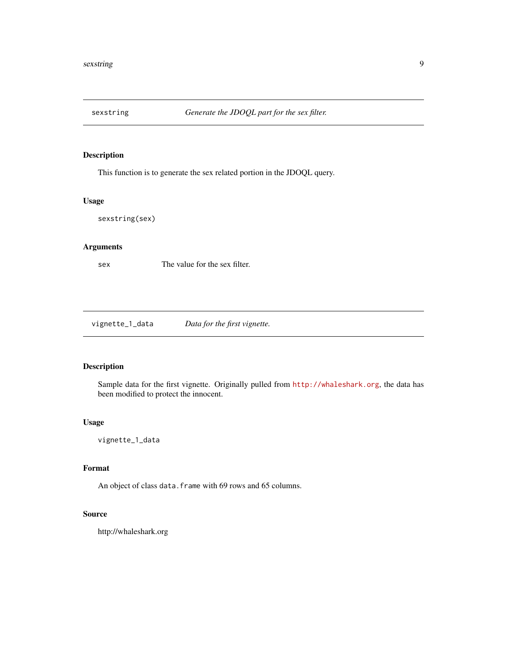<span id="page-8-0"></span>

This function is to generate the sex related portion in the JDOQL query.

## Usage

sexstring(sex)

## Arguments

sex The value for the sex filter.

vignette\_1\_data *Data for the first vignette.*

## Description

Sample data for the first vignette. Originally pulled from <http://whaleshark.org>, the data has been modified to protect the innocent.

## Usage

vignette\_1\_data

## Format

An object of class data. frame with 69 rows and 65 columns.

## Source

http://whaleshark.org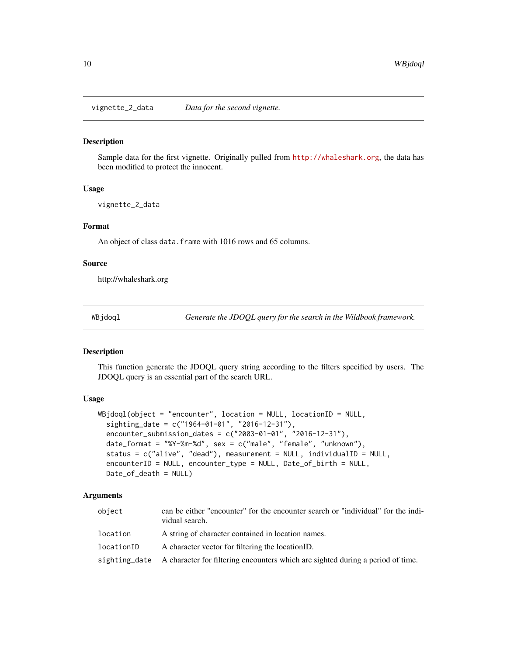<span id="page-9-0"></span>vignette\_2\_data *Data for the second vignette.*

#### Description

Sample data for the first vignette. Originally pulled from <http://whaleshark.org>, the data has been modified to protect the innocent.

#### Usage

vignette\_2\_data

#### Format

An object of class data.frame with 1016 rows and 65 columns.

#### Source

http://whaleshark.org

WBjdoql *Generate the JDOQL query for the search in the Wildbook framework.*

#### Description

This function generate the JDOQL query string according to the filters specified by users. The JDOQL query is an essential part of the search URL.

#### Usage

```
WBjdoql(object = "encounter", location = NULL, locationID = NULL,
  sighting_date = c("1964-01-01", "2016-12-31"),
  encounter_submission_dates = c("2003-01-01", "2016-12-31"),
 date_format = "%Y-%m-%d", sex = c("male", "female", "unknown"),
  status = c("alive", "dead"), measurement = NULL, individualID = NULL,
  encounterID = NULL, encounter_type = NULL, Date_of_birth = NULL,
 Date_of_death = NULL)
```
## Arguments

| object     | can be either "encounter" for the encounter search or "individual" for the indi-<br>vidual search. |
|------------|----------------------------------------------------------------------------------------------------|
| location   | A string of character contained in location names.                                                 |
| locationID | A character vector for filtering the location ID.                                                  |
|            | sighting date A character for filtering encounters which are sighted during a period of time.      |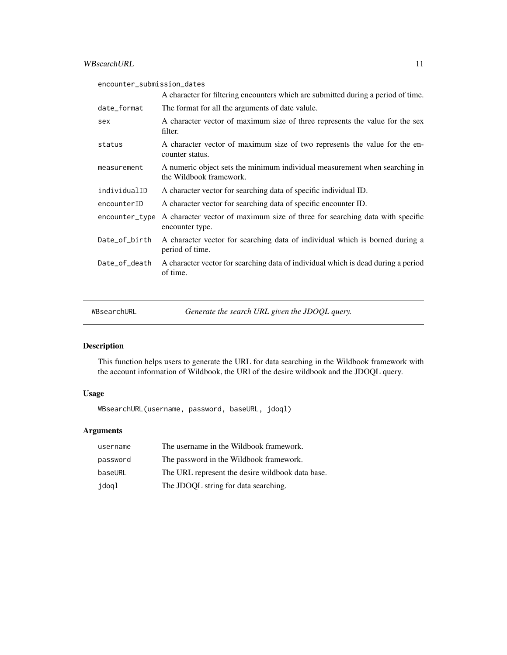<span id="page-10-0"></span>

| encounter_submission_dates |                                                                                                       |
|----------------------------|-------------------------------------------------------------------------------------------------------|
|                            | A character for filtering encounters which are submitted during a period of time.                     |
| date_format                | The format for all the arguments of date valule.                                                      |
| sex                        | A character vector of maximum size of three represents the value for the sex<br>filter.               |
| status                     | A character vector of maximum size of two represents the value for the en-<br>counter status.         |
| measurement                | A numeric object sets the minimum individual measurement when searching in<br>the Wildbook framework. |
| individualID               | A character vector for searching data of specific individual ID.                                      |
| encounterID                | A character vector for searching data of specific encounter ID.                                       |
| encounter_type             | A character vector of maximum size of three for searching data with specific<br>encounter type.       |
| Date_of_birth              | A character vector for searching data of individual which is borned during a<br>period of time.       |
| Date_of_death              | A character vector for searching data of individual which is dead during a period<br>of time.         |

WBsearchURL *Generate the search URL given the JDOQL query.*

## Description

This function helps users to generate the URL for data searching in the Wildbook framework with the account information of Wildbook, the URl of the desire wildbook and the JDOQL query.

## Usage

WBsearchURL(username, password, baseURL, jdoql)

## Arguments

| username | The username in the Wildbook framework.          |
|----------|--------------------------------------------------|
| password | The password in the Wildbook framework.          |
| baseURL  | The URL represent the desire wildbook data base. |
| jdoql    | The JDOQL string for data searching.             |